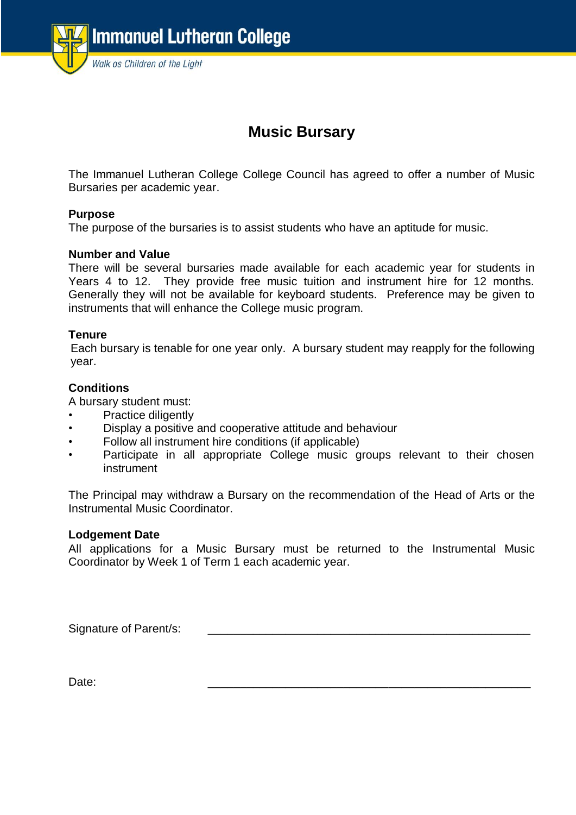

# **Music Bursary**

The Immanuel Lutheran College College Council has agreed to offer a number of Music Bursaries per academic year.

## **Purpose**

The purpose of the bursaries is to assist students who have an aptitude for music.

#### **Number and Value**

There will be several bursaries made available for each academic year for students in Years 4 to 12. They provide free music tuition and instrument hire for 12 months. Generally they will not be available for keyboard students. Preference may be given to instruments that will enhance the College music program.

#### **Tenure**

Each bursary is tenable for one year only. A bursary student may reapply for the following year.

## **Conditions**

A bursary student must:

- Practice diligently
- Display a positive and cooperative attitude and behaviour
- Follow all instrument hire conditions (if applicable)
- Participate in all appropriate College music groups relevant to their chosen instrument

The Principal may withdraw a Bursary on the recommendation of the Head of Arts or the Instrumental Music Coordinator.

#### **Lodgement Date**

All applications for a Music Bursary must be returned to the Instrumental Music Coordinator by Week 1 of Term 1 each academic year.

Signature of Parent/s:

Date: \_\_\_\_\_\_\_\_\_\_\_\_\_\_\_\_\_\_\_\_\_\_\_\_\_\_\_\_\_\_\_\_\_\_\_\_\_\_\_\_\_\_\_\_\_\_\_\_\_\_